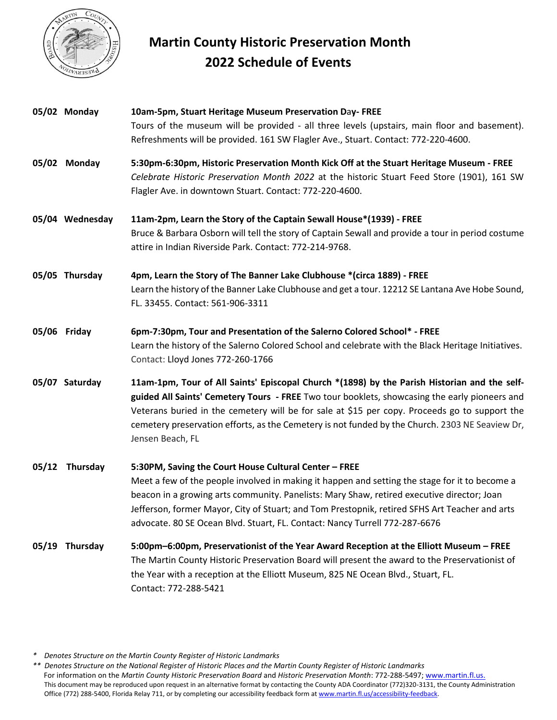

## **Martin County Historic Preservation Month 2022 Schedule of Events**

|       | 05/02 Monday    | 10am-5pm, Stuart Heritage Museum Preservation Day- FREE                                                                                                                                                                                                                                                                                                                                                                                |
|-------|-----------------|----------------------------------------------------------------------------------------------------------------------------------------------------------------------------------------------------------------------------------------------------------------------------------------------------------------------------------------------------------------------------------------------------------------------------------------|
|       |                 | Tours of the museum will be provided - all three levels (upstairs, main floor and basement).<br>Refreshments will be provided. 161 SW Flagler Ave., Stuart. Contact: 772-220-4600.                                                                                                                                                                                                                                                     |
|       | 05/02 Monday    | 5:30pm-6:30pm, Historic Preservation Month Kick Off at the Stuart Heritage Museum - FREE<br>Celebrate Historic Preservation Month 2022 at the historic Stuart Feed Store (1901), 161 SW<br>Flagler Ave. in downtown Stuart. Contact: 772-220-4600.                                                                                                                                                                                     |
|       | 05/04 Wednesday | 11am-2pm, Learn the Story of the Captain Sewall House*(1939) - FREE<br>Bruce & Barbara Osborn will tell the story of Captain Sewall and provide a tour in period costume<br>attire in Indian Riverside Park. Contact: 772-214-9768.                                                                                                                                                                                                    |
|       | 05/05 Thursday  | 4pm, Learn the Story of The Banner Lake Clubhouse *(circa 1889) - FREE<br>Learn the history of the Banner Lake Clubhouse and get a tour. 12212 SE Lantana Ave Hobe Sound,<br>FL. 33455. Contact: 561-906-3311                                                                                                                                                                                                                          |
|       | 05/06 Friday    | 6pm-7:30pm, Tour and Presentation of the Salerno Colored School* - FREE<br>Learn the history of the Salerno Colored School and celebrate with the Black Heritage Initiatives.<br>Contact: Lloyd Jones 772-260-1766                                                                                                                                                                                                                     |
|       | 05/07 Saturday  | 11am-1pm, Tour of All Saints' Episcopal Church *(1898) by the Parish Historian and the self-<br>guided All Saints' Cemetery Tours - FREE Two tour booklets, showcasing the early pioneers and<br>Veterans buried in the cemetery will be for sale at \$15 per copy. Proceeds go to support the<br>cemetery preservation efforts, as the Cemetery is not funded by the Church. 2303 NE Seaview Dr,<br>Jensen Beach, FL                  |
| 05/12 | Thursday        | 5:30PM, Saving the Court House Cultural Center - FREE<br>Meet a few of the people involved in making it happen and setting the stage for it to become a<br>beacon in a growing arts community. Panelists: Mary Shaw, retired executive director; Joan<br>Jefferson, former Mayor, City of Stuart; and Tom Prestopnik, retired SFHS Art Teacher and arts<br>advocate. 80 SE Ocean Blvd. Stuart, FL. Contact: Nancy Turrell 772-287-6676 |
| 05/19 | Thursday        | 5:00pm-6:00pm, Preservationist of the Year Award Reception at the Elliott Museum - FREE<br>The Martin County Historic Preservation Board will present the award to the Preservationist of<br>the Year with a reception at the Elliott Museum, 825 NE Ocean Blvd., Stuart, FL.<br>Contact: 772-288-5421                                                                                                                                 |

*\* Denotes Structure on the Martin County Register of Historic Landmarks*

*\*\* Denotes Structure on the National Register of Historic Places and the Martin County Register of Historic Landmarks* For information on the *Martin County Historic Preservation Board* and *Historic Preservation Month*: 772-288-5497; [www.martin.fl.us.](http://www.martin.fl.us/) This document may be reproduced upon request in an alternative format by contacting the County ADA Coordinator (772)320-3131, the County Administration Office (772) 288-5400, Florida Relay 711, or by completing our accessibility feedback form at [www.martin.fl.us/accessibility-feedback.](http://www.martin.fl.us/accessibility-feedback)